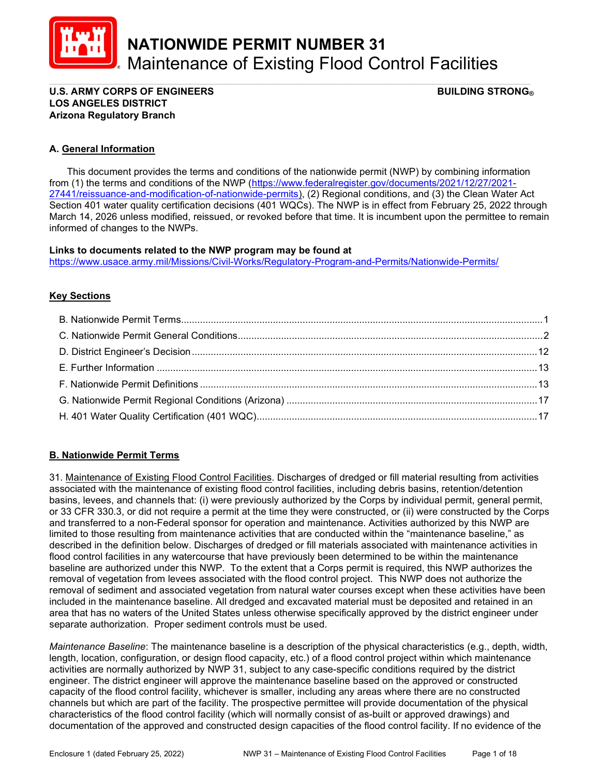

NATIONWIDE PERMIT NUMBER 31 Maintenance of Existing Flood Control Facilities

#### \_\_\_\_\_\_\_\_\_\_\_\_\_\_\_\_\_\_\_\_\_\_\_\_\_\_\_\_\_\_\_\_\_\_\_\_\_\_\_\_\_\_\_\_\_\_\_\_\_\_\_\_\_\_\_\_\_\_\_\_\_\_\_\_\_\_\_\_\_\_\_\_\_\_\_\_\_\_\_\_\_\_\_\_\_\_\_\_\_ U.S. ARMY CORPS OF ENGINEERS BUILDING STRONG® LOS ANGELES DISTRICT Arizona Regulatory Branch

## A. General Information

 This document provides the terms and conditions of the nationwide permit (NWP) by combining information from (1) the terms and conditions of the NWP (https://www.federalregister.gov/documents/2021/12/27/2021- 27441/reissuance-and-modification-of-nationwide-permits), (2) Regional conditions, and (3) the Clean Water Act Section 401 water quality certification decisions (401 WQCs). The NWP is in effect from February 25, 2022 through March 14, 2026 unless modified, reissued, or revoked before that time. It is incumbent upon the permittee to remain informed of changes to the NWPs.

#### Links to documents related to the NWP program may be found at

https://www.usace.army.mil/Missions/Civil-Works/Regulatory-Program-and-Permits/Nationwide-Permits/

### **Key Sections**

# B. Nationwide Permit Terms

31. Maintenance of Existing Flood Control Facilities. Discharges of dredged or fill material resulting from activities associated with the maintenance of existing flood control facilities, including debris basins, retention/detention basins, levees, and channels that: (i) were previously authorized by the Corps by individual permit, general permit, or 33 CFR 330.3, or did not require a permit at the time they were constructed, or (ii) were constructed by the Corps and transferred to a non-Federal sponsor for operation and maintenance. Activities authorized by this NWP are limited to those resulting from maintenance activities that are conducted within the "maintenance baseline," as described in the definition below. Discharges of dredged or fill materials associated with maintenance activities in flood control facilities in any watercourse that have previously been determined to be within the maintenance baseline are authorized under this NWP. To the extent that a Corps permit is required, this NWP authorizes the removal of vegetation from levees associated with the flood control project. This NWP does not authorize the removal of sediment and associated vegetation from natural water courses except when these activities have been included in the maintenance baseline. All dredged and excavated material must be deposited and retained in an area that has no waters of the United States unless otherwise specifically approved by the district engineer under separate authorization. Proper sediment controls must be used.

Maintenance Baseline: The maintenance baseline is a description of the physical characteristics (e.g., depth, width, length, location, configuration, or design flood capacity, etc.) of a flood control project within which maintenance activities are normally authorized by NWP 31, subject to any case-specific conditions required by the district engineer. The district engineer will approve the maintenance baseline based on the approved or constructed capacity of the flood control facility, whichever is smaller, including any areas where there are no constructed channels but which are part of the facility. The prospective permittee will provide documentation of the physical characteristics of the flood control facility (which will normally consist of as-built or approved drawings) and documentation of the approved and constructed design capacities of the flood control facility. If no evidence of the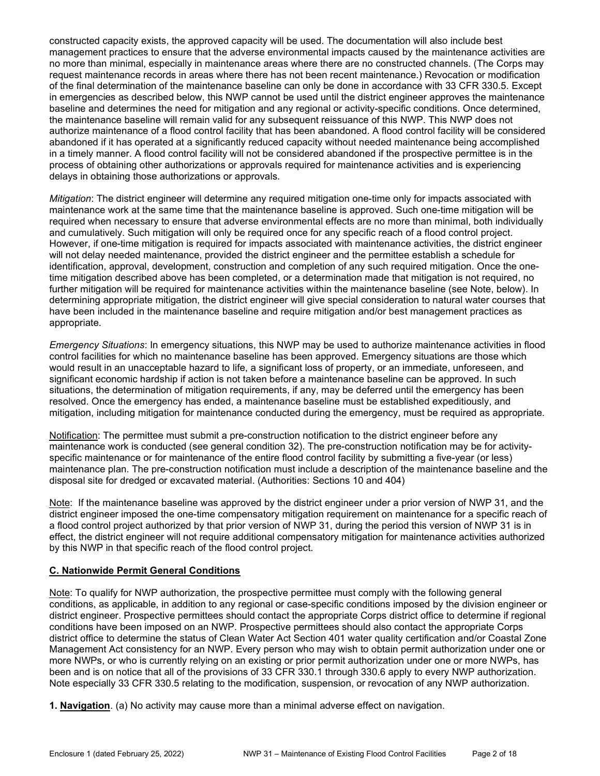constructed capacity exists, the approved capacity will be used. The documentation will also include best management practices to ensure that the adverse environmental impacts caused by the maintenance activities are no more than minimal, especially in maintenance areas where there are no constructed channels. (The Corps may request maintenance records in areas where there has not been recent maintenance.) Revocation or modification of the final determination of the maintenance baseline can only be done in accordance with 33 CFR 330.5. Except in emergencies as described below, this NWP cannot be used until the district engineer approves the maintenance baseline and determines the need for mitigation and any regional or activity-specific conditions. Once determined, the maintenance baseline will remain valid for any subsequent reissuance of this NWP. This NWP does not authorize maintenance of a flood control facility that has been abandoned. A flood control facility will be considered abandoned if it has operated at a significantly reduced capacity without needed maintenance being accomplished in a timely manner. A flood control facility will not be considered abandoned if the prospective permittee is in the process of obtaining other authorizations or approvals required for maintenance activities and is experiencing delays in obtaining those authorizations or approvals.

Mitigation: The district engineer will determine any required mitigation one-time only for impacts associated with maintenance work at the same time that the maintenance baseline is approved. Such one-time mitigation will be required when necessary to ensure that adverse environmental effects are no more than minimal, both individually and cumulatively. Such mitigation will only be required once for any specific reach of a flood control project. However, if one-time mitigation is required for impacts associated with maintenance activities, the district engineer will not delay needed maintenance, provided the district engineer and the permittee establish a schedule for identification, approval, development, construction and completion of any such required mitigation. Once the onetime mitigation described above has been completed, or a determination made that mitigation is not required, no further mitigation will be required for maintenance activities within the maintenance baseline (see Note, below). In determining appropriate mitigation, the district engineer will give special consideration to natural water courses that have been included in the maintenance baseline and require mitigation and/or best management practices as appropriate.

Emergency Situations: In emergency situations, this NWP may be used to authorize maintenance activities in flood control facilities for which no maintenance baseline has been approved. Emergency situations are those which would result in an unacceptable hazard to life, a significant loss of property, or an immediate, unforeseen, and significant economic hardship if action is not taken before a maintenance baseline can be approved. In such situations, the determination of mitigation requirements, if any, may be deferred until the emergency has been resolved. Once the emergency has ended, a maintenance baseline must be established expeditiously, and mitigation, including mitigation for maintenance conducted during the emergency, must be required as appropriate.

Notification: The permittee must submit a pre-construction notification to the district engineer before any maintenance work is conducted (see general condition 32). The pre-construction notification may be for activityspecific maintenance or for maintenance of the entire flood control facility by submitting a five-year (or less) maintenance plan. The pre-construction notification must include a description of the maintenance baseline and the disposal site for dredged or excavated material. (Authorities: Sections 10 and 404)

Note: If the maintenance baseline was approved by the district engineer under a prior version of NWP 31, and the district engineer imposed the one-time compensatory mitigation requirement on maintenance for a specific reach of a flood control project authorized by that prior version of NWP 31, during the period this version of NWP 31 is in effect, the district engineer will not require additional compensatory mitigation for maintenance activities authorized by this NWP in that specific reach of the flood control project.

### C. Nationwide Permit General Conditions

Note: To qualify for NWP authorization, the prospective permittee must comply with the following general conditions, as applicable, in addition to any regional or case-specific conditions imposed by the division engineer or district engineer. Prospective permittees should contact the appropriate Corps district office to determine if regional conditions have been imposed on an NWP. Prospective permittees should also contact the appropriate Corps district office to determine the status of Clean Water Act Section 401 water quality certification and/or Coastal Zone Management Act consistency for an NWP. Every person who may wish to obtain permit authorization under one or more NWPs, or who is currently relying on an existing or prior permit authorization under one or more NWPs, has been and is on notice that all of the provisions of 33 CFR 330.1 through 330.6 apply to every NWP authorization. Note especially 33 CFR 330.5 relating to the modification, suspension, or revocation of any NWP authorization.

1. Navigation. (a) No activity may cause more than a minimal adverse effect on navigation.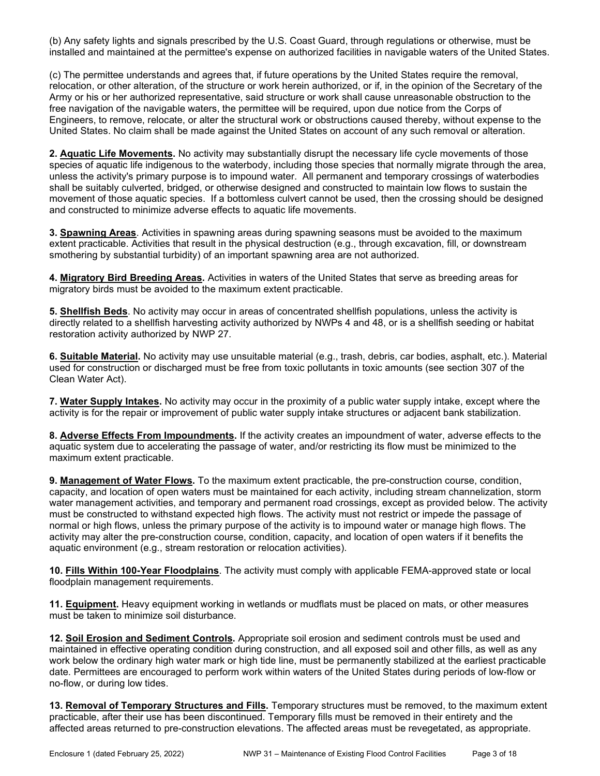(b) Any safety lights and signals prescribed by the U.S. Coast Guard, through regulations or otherwise, must be installed and maintained at the permittee's expense on authorized facilities in navigable waters of the United States.

(c) The permittee understands and agrees that, if future operations by the United States require the removal, relocation, or other alteration, of the structure or work herein authorized, or if, in the opinion of the Secretary of the Army or his or her authorized representative, said structure or work shall cause unreasonable obstruction to the free navigation of the navigable waters, the permittee will be required, upon due notice from the Corps of Engineers, to remove, relocate, or alter the structural work or obstructions caused thereby, without expense to the United States. No claim shall be made against the United States on account of any such removal or alteration.

2. Aquatic Life Movements. No activity may substantially disrupt the necessary life cycle movements of those species of aquatic life indigenous to the waterbody, including those species that normally migrate through the area, unless the activity's primary purpose is to impound water. All permanent and temporary crossings of waterbodies shall be suitably culverted, bridged, or otherwise designed and constructed to maintain low flows to sustain the movement of those aquatic species. If a bottomless culvert cannot be used, then the crossing should be designed and constructed to minimize adverse effects to aquatic life movements.

3. Spawning Areas. Activities in spawning areas during spawning seasons must be avoided to the maximum extent practicable. Activities that result in the physical destruction (e.g., through excavation, fill, or downstream smothering by substantial turbidity) of an important spawning area are not authorized.

4. Migratory Bird Breeding Areas. Activities in waters of the United States that serve as breeding areas for migratory birds must be avoided to the maximum extent practicable.

5. Shellfish Beds. No activity may occur in areas of concentrated shellfish populations, unless the activity is directly related to a shellfish harvesting activity authorized by NWPs 4 and 48, or is a shellfish seeding or habitat restoration activity authorized by NWP 27.

6. Suitable Material. No activity may use unsuitable material (e.g., trash, debris, car bodies, asphalt, etc.). Material used for construction or discharged must be free from toxic pollutants in toxic amounts (see section 307 of the Clean Water Act).

7. Water Supply Intakes. No activity may occur in the proximity of a public water supply intake, except where the activity is for the repair or improvement of public water supply intake structures or adjacent bank stabilization.

8. Adverse Effects From Impoundments. If the activity creates an impoundment of water, adverse effects to the aquatic system due to accelerating the passage of water, and/or restricting its flow must be minimized to the maximum extent practicable.

9. Management of Water Flows. To the maximum extent practicable, the pre-construction course, condition, capacity, and location of open waters must be maintained for each activity, including stream channelization, storm water management activities, and temporary and permanent road crossings, except as provided below. The activity must be constructed to withstand expected high flows. The activity must not restrict or impede the passage of normal or high flows, unless the primary purpose of the activity is to impound water or manage high flows. The activity may alter the pre-construction course, condition, capacity, and location of open waters if it benefits the aquatic environment (e.g., stream restoration or relocation activities).

10. Fills Within 100-Year Floodplains. The activity must comply with applicable FEMA-approved state or local floodplain management requirements.

11. Equipment. Heavy equipment working in wetlands or mudflats must be placed on mats, or other measures must be taken to minimize soil disturbance.

12. Soil Erosion and Sediment Controls. Appropriate soil erosion and sediment controls must be used and maintained in effective operating condition during construction, and all exposed soil and other fills, as well as any work below the ordinary high water mark or high tide line, must be permanently stabilized at the earliest practicable date. Permittees are encouraged to perform work within waters of the United States during periods of low-flow or no-flow, or during low tides.

13. Removal of Temporary Structures and Fills. Temporary structures must be removed, to the maximum extent practicable, after their use has been discontinued. Temporary fills must be removed in their entirety and the affected areas returned to pre-construction elevations. The affected areas must be revegetated, as appropriate.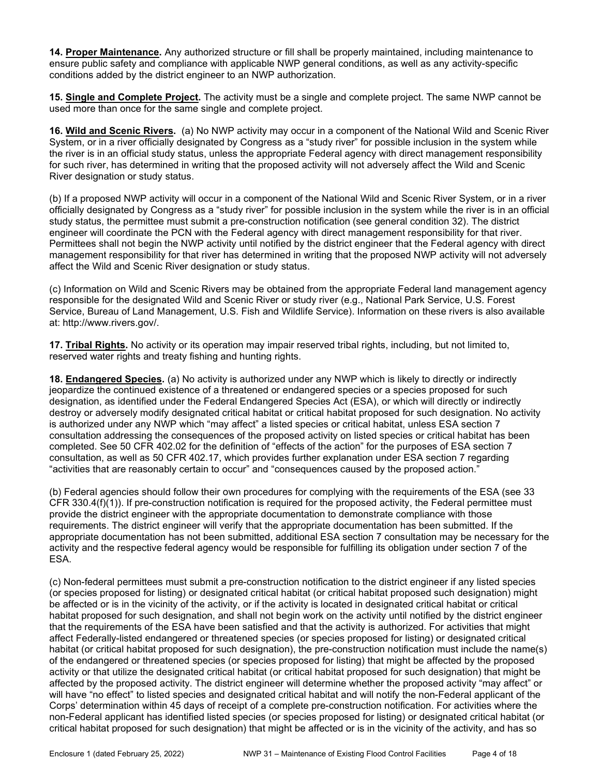14. Proper Maintenance. Any authorized structure or fill shall be properly maintained, including maintenance to ensure public safety and compliance with applicable NWP general conditions, as well as any activity-specific conditions added by the district engineer to an NWP authorization.

15. Single and Complete Project. The activity must be a single and complete project. The same NWP cannot be used more than once for the same single and complete project.

16. Wild and Scenic Rivers. (a) No NWP activity may occur in a component of the National Wild and Scenic River System, or in a river officially designated by Congress as a "study river" for possible inclusion in the system while the river is in an official study status, unless the appropriate Federal agency with direct management responsibility for such river, has determined in writing that the proposed activity will not adversely affect the Wild and Scenic River designation or study status.

(b) If a proposed NWP activity will occur in a component of the National Wild and Scenic River System, or in a river officially designated by Congress as a "study river" for possible inclusion in the system while the river is in an official study status, the permittee must submit a pre-construction notification (see general condition 32). The district engineer will coordinate the PCN with the Federal agency with direct management responsibility for that river. Permittees shall not begin the NWP activity until notified by the district engineer that the Federal agency with direct management responsibility for that river has determined in writing that the proposed NWP activity will not adversely affect the Wild and Scenic River designation or study status.

(c) Information on Wild and Scenic Rivers may be obtained from the appropriate Federal land management agency responsible for the designated Wild and Scenic River or study river (e.g., National Park Service, U.S. Forest Service, Bureau of Land Management, U.S. Fish and Wildlife Service). Information on these rivers is also available at: http://www.rivers.gov/.

17. Tribal Rights. No activity or its operation may impair reserved tribal rights, including, but not limited to, reserved water rights and treaty fishing and hunting rights.

18. Endangered Species. (a) No activity is authorized under any NWP which is likely to directly or indirectly jeopardize the continued existence of a threatened or endangered species or a species proposed for such designation, as identified under the Federal Endangered Species Act (ESA), or which will directly or indirectly destroy or adversely modify designated critical habitat or critical habitat proposed for such designation. No activity is authorized under any NWP which "may affect" a listed species or critical habitat, unless ESA section 7 consultation addressing the consequences of the proposed activity on listed species or critical habitat has been completed. See 50 CFR 402.02 for the definition of "effects of the action" for the purposes of ESA section 7 consultation, as well as 50 CFR 402.17, which provides further explanation under ESA section 7 regarding "activities that are reasonably certain to occur" and "consequences caused by the proposed action."

(b) Federal agencies should follow their own procedures for complying with the requirements of the ESA (see 33 CFR 330.4(f)(1)). If pre-construction notification is required for the proposed activity, the Federal permittee must provide the district engineer with the appropriate documentation to demonstrate compliance with those requirements. The district engineer will verify that the appropriate documentation has been submitted. If the appropriate documentation has not been submitted, additional ESA section 7 consultation may be necessary for the activity and the respective federal agency would be responsible for fulfilling its obligation under section 7 of the ESA.

(c) Non-federal permittees must submit a pre-construction notification to the district engineer if any listed species (or species proposed for listing) or designated critical habitat (or critical habitat proposed such designation) might be affected or is in the vicinity of the activity, or if the activity is located in designated critical habitat or critical habitat proposed for such designation, and shall not begin work on the activity until notified by the district engineer that the requirements of the ESA have been satisfied and that the activity is authorized. For activities that might affect Federally-listed endangered or threatened species (or species proposed for listing) or designated critical habitat (or critical habitat proposed for such designation), the pre-construction notification must include the name(s) of the endangered or threatened species (or species proposed for listing) that might be affected by the proposed activity or that utilize the designated critical habitat (or critical habitat proposed for such designation) that might be affected by the proposed activity. The district engineer will determine whether the proposed activity "may affect" or will have "no effect" to listed species and designated critical habitat and will notify the non-Federal applicant of the Corps' determination within 45 days of receipt of a complete pre-construction notification. For activities where the non-Federal applicant has identified listed species (or species proposed for listing) or designated critical habitat (or critical habitat proposed for such designation) that might be affected or is in the vicinity of the activity, and has so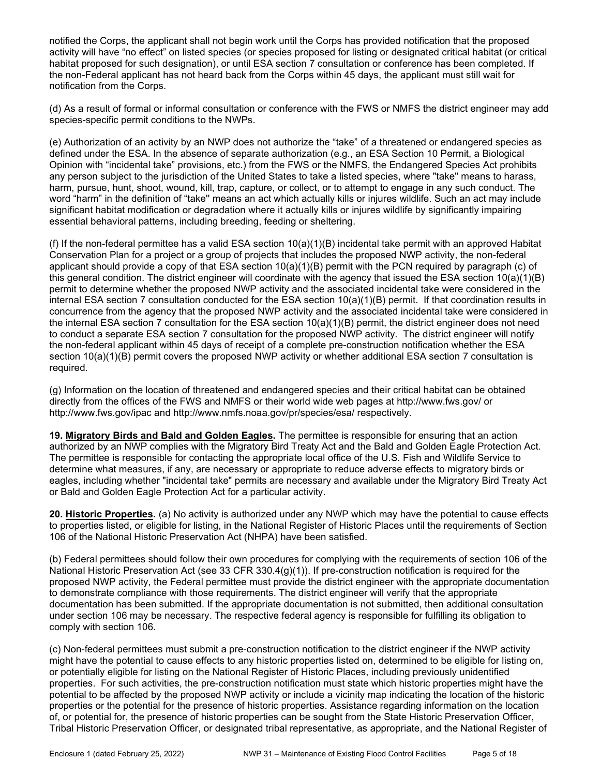notified the Corps, the applicant shall not begin work until the Corps has provided notification that the proposed activity will have "no effect" on listed species (or species proposed for listing or designated critical habitat (or critical habitat proposed for such designation), or until ESA section 7 consultation or conference has been completed. If the non-Federal applicant has not heard back from the Corps within 45 days, the applicant must still wait for notification from the Corps.

(d) As a result of formal or informal consultation or conference with the FWS or NMFS the district engineer may add species-specific permit conditions to the NWPs.

(e) Authorization of an activity by an NWP does not authorize the "take" of a threatened or endangered species as defined under the ESA. In the absence of separate authorization (e.g., an ESA Section 10 Permit, a Biological Opinion with "incidental take" provisions, etc.) from the FWS or the NMFS, the Endangered Species Act prohibits any person subject to the jurisdiction of the United States to take a listed species, where "take" means to harass, harm, pursue, hunt, shoot, wound, kill, trap, capture, or collect, or to attempt to engage in any such conduct. The word "harm" in the definition of "take'' means an act which actually kills or injures wildlife. Such an act may include significant habitat modification or degradation where it actually kills or injures wildlife by significantly impairing essential behavioral patterns, including breeding, feeding or sheltering.

(f) If the non-federal permittee has a valid ESA section  $10(a)(1)(B)$  incidental take permit with an approved Habitat Conservation Plan for a project or a group of projects that includes the proposed NWP activity, the non-federal applicant should provide a copy of that ESA section 10(a)(1)(B) permit with the PCN required by paragraph (c) of this general condition. The district engineer will coordinate with the agency that issued the ESA section 10(a)(1)(B) permit to determine whether the proposed NWP activity and the associated incidental take were considered in the internal ESA section 7 consultation conducted for the ESA section 10(a)(1)(B) permit. If that coordination results in concurrence from the agency that the proposed NWP activity and the associated incidental take were considered in the internal ESA section 7 consultation for the ESA section 10(a)(1)(B) permit, the district engineer does not need to conduct a separate ESA section 7 consultation for the proposed NWP activity. The district engineer will notify the non-federal applicant within 45 days of receipt of a complete pre-construction notification whether the ESA section 10(a)(1)(B) permit covers the proposed NWP activity or whether additional ESA section 7 consultation is required.

(g) Information on the location of threatened and endangered species and their critical habitat can be obtained directly from the offices of the FWS and NMFS or their world wide web pages at http://www.fws.gov/ or http://www.fws.gov/ipac and http://www.nmfs.noaa.gov/pr/species/esa/ respectively.

19. Migratory Birds and Bald and Golden Eagles. The permittee is responsible for ensuring that an action authorized by an NWP complies with the Migratory Bird Treaty Act and the Bald and Golden Eagle Protection Act. The permittee is responsible for contacting the appropriate local office of the U.S. Fish and Wildlife Service to determine what measures, if any, are necessary or appropriate to reduce adverse effects to migratory birds or eagles, including whether "incidental take" permits are necessary and available under the Migratory Bird Treaty Act or Bald and Golden Eagle Protection Act for a particular activity.

20. Historic Properties. (a) No activity is authorized under any NWP which may have the potential to cause effects to properties listed, or eligible for listing, in the National Register of Historic Places until the requirements of Section 106 of the National Historic Preservation Act (NHPA) have been satisfied.

(b) Federal permittees should follow their own procedures for complying with the requirements of section 106 of the National Historic Preservation Act (see 33 CFR 330.4(g)(1)). If pre-construction notification is required for the proposed NWP activity, the Federal permittee must provide the district engineer with the appropriate documentation to demonstrate compliance with those requirements. The district engineer will verify that the appropriate documentation has been submitted. If the appropriate documentation is not submitted, then additional consultation under section 106 may be necessary. The respective federal agency is responsible for fulfilling its obligation to comply with section 106.

(c) Non-federal permittees must submit a pre-construction notification to the district engineer if the NWP activity might have the potential to cause effects to any historic properties listed on, determined to be eligible for listing on, or potentially eligible for listing on the National Register of Historic Places, including previously unidentified properties. For such activities, the pre-construction notification must state which historic properties might have the potential to be affected by the proposed NWP activity or include a vicinity map indicating the location of the historic properties or the potential for the presence of historic properties. Assistance regarding information on the location of, or potential for, the presence of historic properties can be sought from the State Historic Preservation Officer, Tribal Historic Preservation Officer, or designated tribal representative, as appropriate, and the National Register of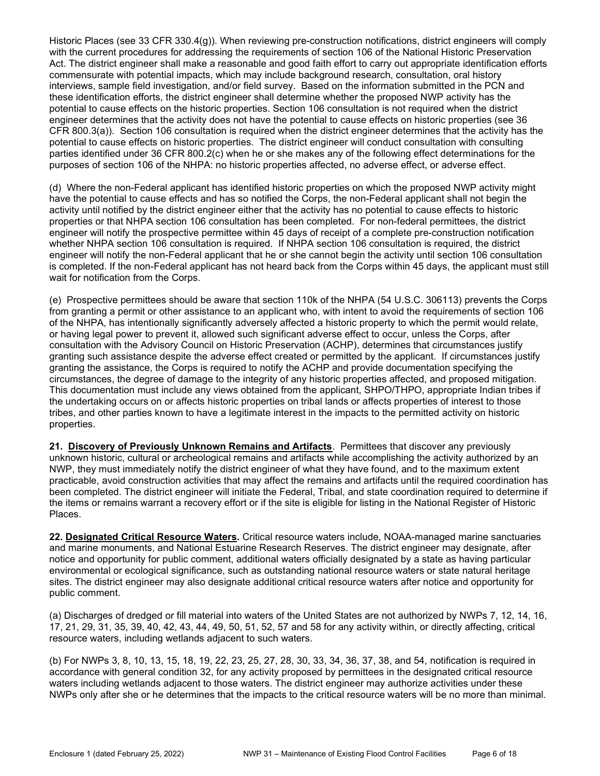Historic Places (see 33 CFR 330.4(g)). When reviewing pre-construction notifications, district engineers will comply with the current procedures for addressing the requirements of section 106 of the National Historic Preservation Act. The district engineer shall make a reasonable and good faith effort to carry out appropriate identification efforts commensurate with potential impacts, which may include background research, consultation, oral history interviews, sample field investigation, and/or field survey. Based on the information submitted in the PCN and these identification efforts, the district engineer shall determine whether the proposed NWP activity has the potential to cause effects on the historic properties. Section 106 consultation is not required when the district engineer determines that the activity does not have the potential to cause effects on historic properties (see 36 CFR 800.3(a)). Section 106 consultation is required when the district engineer determines that the activity has the potential to cause effects on historic properties. The district engineer will conduct consultation with consulting parties identified under 36 CFR 800.2(c) when he or she makes any of the following effect determinations for the purposes of section 106 of the NHPA: no historic properties affected, no adverse effect, or adverse effect.

(d) Where the non-Federal applicant has identified historic properties on which the proposed NWP activity might have the potential to cause effects and has so notified the Corps, the non-Federal applicant shall not begin the activity until notified by the district engineer either that the activity has no potential to cause effects to historic properties or that NHPA section 106 consultation has been completed. For non-federal permittees, the district engineer will notify the prospective permittee within 45 days of receipt of a complete pre-construction notification whether NHPA section 106 consultation is required. If NHPA section 106 consultation is required, the district engineer will notify the non-Federal applicant that he or she cannot begin the activity until section 106 consultation is completed. If the non-Federal applicant has not heard back from the Corps within 45 days, the applicant must still wait for notification from the Corps.

(e) Prospective permittees should be aware that section 110k of the NHPA (54 U.S.C. 306113) prevents the Corps from granting a permit or other assistance to an applicant who, with intent to avoid the requirements of section 106 of the NHPA, has intentionally significantly adversely affected a historic property to which the permit would relate, or having legal power to prevent it, allowed such significant adverse effect to occur, unless the Corps, after consultation with the Advisory Council on Historic Preservation (ACHP), determines that circumstances justify granting such assistance despite the adverse effect created or permitted by the applicant. If circumstances justify granting the assistance, the Corps is required to notify the ACHP and provide documentation specifying the circumstances, the degree of damage to the integrity of any historic properties affected, and proposed mitigation. This documentation must include any views obtained from the applicant, SHPO/THPO, appropriate Indian tribes if the undertaking occurs on or affects historic properties on tribal lands or affects properties of interest to those tribes, and other parties known to have a legitimate interest in the impacts to the permitted activity on historic properties.

21. Discovery of Previously Unknown Remains and Artifacts. Permittees that discover any previously unknown historic, cultural or archeological remains and artifacts while accomplishing the activity authorized by an NWP, they must immediately notify the district engineer of what they have found, and to the maximum extent practicable, avoid construction activities that may affect the remains and artifacts until the required coordination has been completed. The district engineer will initiate the Federal, Tribal, and state coordination required to determine if the items or remains warrant a recovery effort or if the site is eligible for listing in the National Register of Historic Places.

22. Designated Critical Resource Waters. Critical resource waters include, NOAA-managed marine sanctuaries and marine monuments, and National Estuarine Research Reserves. The district engineer may designate, after notice and opportunity for public comment, additional waters officially designated by a state as having particular environmental or ecological significance, such as outstanding national resource waters or state natural heritage sites. The district engineer may also designate additional critical resource waters after notice and opportunity for public comment.

(a) Discharges of dredged or fill material into waters of the United States are not authorized by NWPs 7, 12, 14, 16, 17, 21, 29, 31, 35, 39, 40, 42, 43, 44, 49, 50, 51, 52, 57 and 58 for any activity within, or directly affecting, critical resource waters, including wetlands adjacent to such waters.

(b) For NWPs 3, 8, 10, 13, 15, 18, 19, 22, 23, 25, 27, 28, 30, 33, 34, 36, 37, 38, and 54, notification is required in accordance with general condition 32, for any activity proposed by permittees in the designated critical resource waters including wetlands adjacent to those waters. The district engineer may authorize activities under these NWPs only after she or he determines that the impacts to the critical resource waters will be no more than minimal.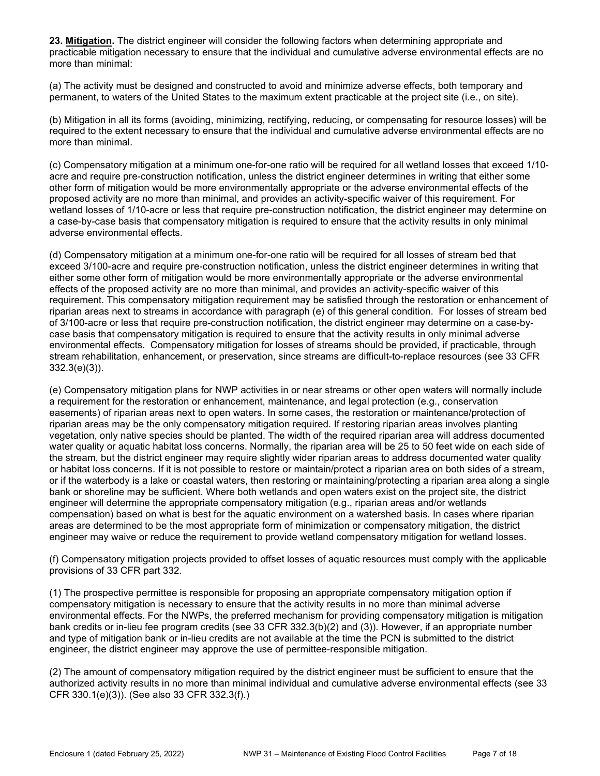23. Mitigation. The district engineer will consider the following factors when determining appropriate and practicable mitigation necessary to ensure that the individual and cumulative adverse environmental effects are no more than minimal:

(a) The activity must be designed and constructed to avoid and minimize adverse effects, both temporary and permanent, to waters of the United States to the maximum extent practicable at the project site (i.e., on site).

(b) Mitigation in all its forms (avoiding, minimizing, rectifying, reducing, or compensating for resource losses) will be required to the extent necessary to ensure that the individual and cumulative adverse environmental effects are no more than minimal.

(c) Compensatory mitigation at a minimum one-for-one ratio will be required for all wetland losses that exceed 1/10 acre and require pre-construction notification, unless the district engineer determines in writing that either some other form of mitigation would be more environmentally appropriate or the adverse environmental effects of the proposed activity are no more than minimal, and provides an activity-specific waiver of this requirement. For wetland losses of 1/10-acre or less that require pre-construction notification, the district engineer may determine on a case-by-case basis that compensatory mitigation is required to ensure that the activity results in only minimal adverse environmental effects.

(d) Compensatory mitigation at a minimum one-for-one ratio will be required for all losses of stream bed that exceed 3/100-acre and require pre-construction notification, unless the district engineer determines in writing that either some other form of mitigation would be more environmentally appropriate or the adverse environmental effects of the proposed activity are no more than minimal, and provides an activity-specific waiver of this requirement. This compensatory mitigation requirement may be satisfied through the restoration or enhancement of riparian areas next to streams in accordance with paragraph (e) of this general condition. For losses of stream bed of 3/100-acre or less that require pre-construction notification, the district engineer may determine on a case-bycase basis that compensatory mitigation is required to ensure that the activity results in only minimal adverse environmental effects. Compensatory mitigation for losses of streams should be provided, if practicable, through stream rehabilitation, enhancement, or preservation, since streams are difficult-to-replace resources (see 33 CFR 332.3(e)(3)).

(e) Compensatory mitigation plans for NWP activities in or near streams or other open waters will normally include a requirement for the restoration or enhancement, maintenance, and legal protection (e.g., conservation easements) of riparian areas next to open waters. In some cases, the restoration or maintenance/protection of riparian areas may be the only compensatory mitigation required. If restoring riparian areas involves planting vegetation, only native species should be planted. The width of the required riparian area will address documented water quality or aquatic habitat loss concerns. Normally, the riparian area will be 25 to 50 feet wide on each side of the stream, but the district engineer may require slightly wider riparian areas to address documented water quality or habitat loss concerns. If it is not possible to restore or maintain/protect a riparian area on both sides of a stream, or if the waterbody is a lake or coastal waters, then restoring or maintaining/protecting a riparian area along a single bank or shoreline may be sufficient. Where both wetlands and open waters exist on the project site, the district engineer will determine the appropriate compensatory mitigation (e.g., riparian areas and/or wetlands compensation) based on what is best for the aquatic environment on a watershed basis. In cases where riparian areas are determined to be the most appropriate form of minimization or compensatory mitigation, the district engineer may waive or reduce the requirement to provide wetland compensatory mitigation for wetland losses.

(f) Compensatory mitigation projects provided to offset losses of aquatic resources must comply with the applicable provisions of 33 CFR part 332.

(1) The prospective permittee is responsible for proposing an appropriate compensatory mitigation option if compensatory mitigation is necessary to ensure that the activity results in no more than minimal adverse environmental effects. For the NWPs, the preferred mechanism for providing compensatory mitigation is mitigation bank credits or in-lieu fee program credits (see 33 CFR 332.3(b)(2) and (3)). However, if an appropriate number and type of mitigation bank or in-lieu credits are not available at the time the PCN is submitted to the district engineer, the district engineer may approve the use of permittee-responsible mitigation.

(2) The amount of compensatory mitigation required by the district engineer must be sufficient to ensure that the authorized activity results in no more than minimal individual and cumulative adverse environmental effects (see 33 CFR 330.1(e)(3)). (See also 33 CFR 332.3(f).)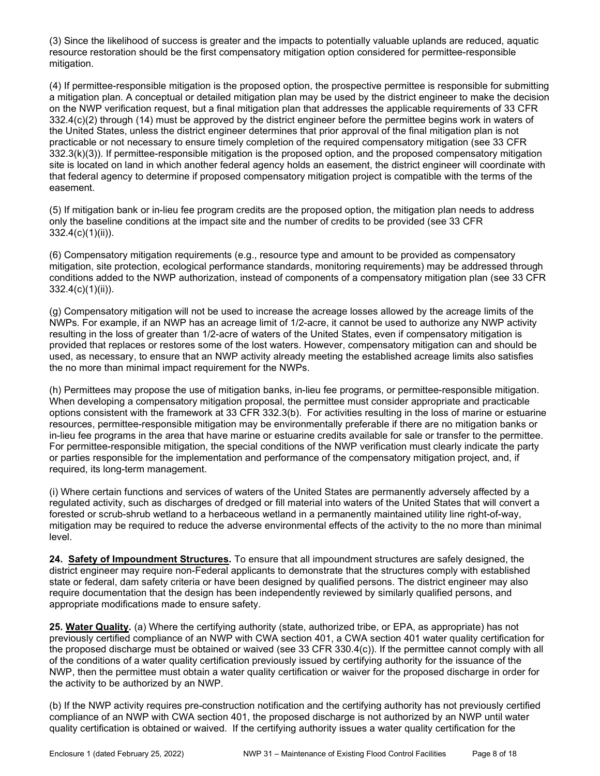(3) Since the likelihood of success is greater and the impacts to potentially valuable uplands are reduced, aquatic resource restoration should be the first compensatory mitigation option considered for permittee-responsible mitigation.

(4) If permittee-responsible mitigation is the proposed option, the prospective permittee is responsible for submitting a mitigation plan. A conceptual or detailed mitigation plan may be used by the district engineer to make the decision on the NWP verification request, but a final mitigation plan that addresses the applicable requirements of 33 CFR 332.4(c)(2) through (14) must be approved by the district engineer before the permittee begins work in waters of the United States, unless the district engineer determines that prior approval of the final mitigation plan is not practicable or not necessary to ensure timely completion of the required compensatory mitigation (see 33 CFR 332.3(k)(3)). If permittee-responsible mitigation is the proposed option, and the proposed compensatory mitigation site is located on land in which another federal agency holds an easement, the district engineer will coordinate with that federal agency to determine if proposed compensatory mitigation project is compatible with the terms of the easement.

(5) If mitigation bank or in-lieu fee program credits are the proposed option, the mitigation plan needs to address only the baseline conditions at the impact site and the number of credits to be provided (see 33 CFR 332.4(c)(1)(ii)).

(6) Compensatory mitigation requirements (e.g., resource type and amount to be provided as compensatory mitigation, site protection, ecological performance standards, monitoring requirements) may be addressed through conditions added to the NWP authorization, instead of components of a compensatory mitigation plan (see 33 CFR 332.4(c)(1)(ii)).

(g) Compensatory mitigation will not be used to increase the acreage losses allowed by the acreage limits of the NWPs. For example, if an NWP has an acreage limit of 1/2-acre, it cannot be used to authorize any NWP activity resulting in the loss of greater than 1/2-acre of waters of the United States, even if compensatory mitigation is provided that replaces or restores some of the lost waters. However, compensatory mitigation can and should be used, as necessary, to ensure that an NWP activity already meeting the established acreage limits also satisfies the no more than minimal impact requirement for the NWPs.

(h) Permittees may propose the use of mitigation banks, in-lieu fee programs, or permittee-responsible mitigation. When developing a compensatory mitigation proposal, the permittee must consider appropriate and practicable options consistent with the framework at 33 CFR 332.3(b). For activities resulting in the loss of marine or estuarine resources, permittee-responsible mitigation may be environmentally preferable if there are no mitigation banks or in-lieu fee programs in the area that have marine or estuarine credits available for sale or transfer to the permittee. For permittee-responsible mitigation, the special conditions of the NWP verification must clearly indicate the party or parties responsible for the implementation and performance of the compensatory mitigation project, and, if required, its long-term management.

(i) Where certain functions and services of waters of the United States are permanently adversely affected by a regulated activity, such as discharges of dredged or fill material into waters of the United States that will convert a forested or scrub-shrub wetland to a herbaceous wetland in a permanently maintained utility line right-of-way, mitigation may be required to reduce the adverse environmental effects of the activity to the no more than minimal level.

24. Safety of Impoundment Structures. To ensure that all impoundment structures are safely designed, the district engineer may require non-Federal applicants to demonstrate that the structures comply with established state or federal, dam safety criteria or have been designed by qualified persons. The district engineer may also require documentation that the design has been independently reviewed by similarly qualified persons, and appropriate modifications made to ensure safety.

25. Water Quality. (a) Where the certifying authority (state, authorized tribe, or EPA, as appropriate) has not previously certified compliance of an NWP with CWA section 401, a CWA section 401 water quality certification for the proposed discharge must be obtained or waived (see 33 CFR 330.4(c)). If the permittee cannot comply with all of the conditions of a water quality certification previously issued by certifying authority for the issuance of the NWP, then the permittee must obtain a water quality certification or waiver for the proposed discharge in order for the activity to be authorized by an NWP.

(b) If the NWP activity requires pre-construction notification and the certifying authority has not previously certified compliance of an NWP with CWA section 401, the proposed discharge is not authorized by an NWP until water quality certification is obtained or waived. If the certifying authority issues a water quality certification for the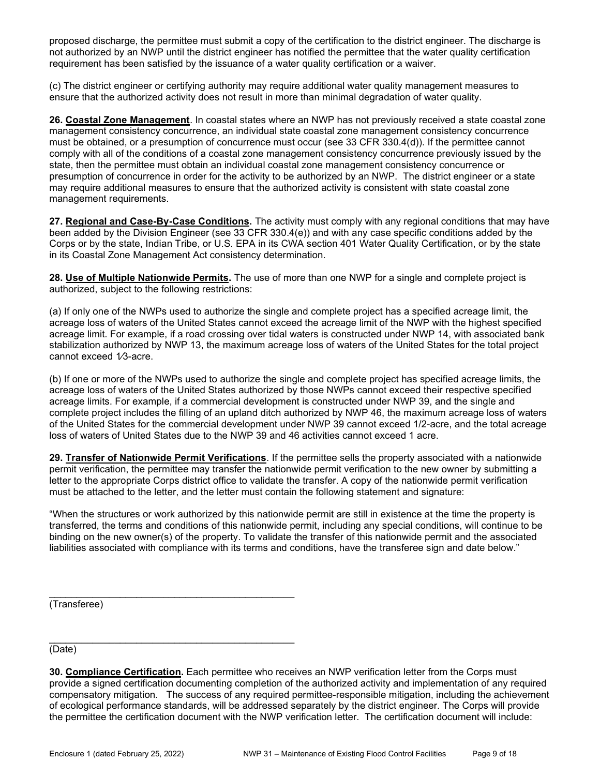proposed discharge, the permittee must submit a copy of the certification to the district engineer. The discharge is not authorized by an NWP until the district engineer has notified the permittee that the water quality certification requirement has been satisfied by the issuance of a water quality certification or a waiver.

(c) The district engineer or certifying authority may require additional water quality management measures to ensure that the authorized activity does not result in more than minimal degradation of water quality.

26. Coastal Zone Management. In coastal states where an NWP has not previously received a state coastal zone management consistency concurrence, an individual state coastal zone management consistency concurrence must be obtained, or a presumption of concurrence must occur (see 33 CFR 330.4(d)). If the permittee cannot comply with all of the conditions of a coastal zone management consistency concurrence previously issued by the state, then the permittee must obtain an individual coastal zone management consistency concurrence or presumption of concurrence in order for the activity to be authorized by an NWP. The district engineer or a state may require additional measures to ensure that the authorized activity is consistent with state coastal zone management requirements.

27. Regional and Case-By-Case Conditions. The activity must comply with any regional conditions that may have been added by the Division Engineer (see 33 CFR 330.4(e)) and with any case specific conditions added by the Corps or by the state, Indian Tribe, or U.S. EPA in its CWA section 401 Water Quality Certification, or by the state in its Coastal Zone Management Act consistency determination.

28. Use of Multiple Nationwide Permits. The use of more than one NWP for a single and complete project is authorized, subject to the following restrictions:

(a) If only one of the NWPs used to authorize the single and complete project has a specified acreage limit, the acreage loss of waters of the United States cannot exceed the acreage limit of the NWP with the highest specified acreage limit. For example, if a road crossing over tidal waters is constructed under NWP 14, with associated bank stabilization authorized by NWP 13, the maximum acreage loss of waters of the United States for the total project cannot exceed 1/3-acre.

(b) If one or more of the NWPs used to authorize the single and complete project has specified acreage limits, the acreage loss of waters of the United States authorized by those NWPs cannot exceed their respective specified acreage limits. For example, if a commercial development is constructed under NWP 39, and the single and complete project includes the filling of an upland ditch authorized by NWP 46, the maximum acreage loss of waters of the United States for the commercial development under NWP 39 cannot exceed 1/2-acre, and the total acreage loss of waters of United States due to the NWP 39 and 46 activities cannot exceed 1 acre.

29. Transfer of Nationwide Permit Verifications. If the permittee sells the property associated with a nationwide permit verification, the permittee may transfer the nationwide permit verification to the new owner by submitting a letter to the appropriate Corps district office to validate the transfer. A copy of the nationwide permit verification must be attached to the letter, and the letter must contain the following statement and signature:

"When the structures or work authorized by this nationwide permit are still in existence at the time the property is transferred, the terms and conditions of this nationwide permit, including any special conditions, will continue to be binding on the new owner(s) of the property. To validate the transfer of this nationwide permit and the associated liabilities associated with compliance with its terms and conditions, have the transferee sign and date below."

(Transferee)

\_\_\_\_\_\_\_\_\_\_\_\_\_\_\_\_\_\_\_\_\_\_\_\_\_\_\_\_\_\_\_\_\_\_\_\_\_\_\_\_\_\_\_\_\_ (Date)

<sup>30.</sup> Compliance Certification. Each permittee who receives an NWP verification letter from the Corps must provide a signed certification documenting completion of the authorized activity and implementation of any required compensatory mitigation. The success of any required permittee-responsible mitigation, including the achievement of ecological performance standards, will be addressed separately by the district engineer. The Corps will provide the permittee the certification document with the NWP verification letter. The certification document will include: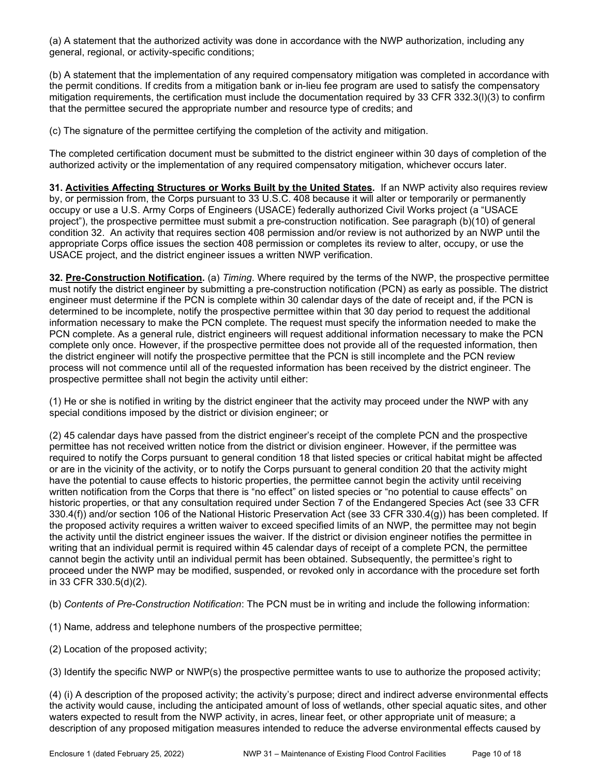(a) A statement that the authorized activity was done in accordance with the NWP authorization, including any general, regional, or activity-specific conditions;

(b) A statement that the implementation of any required compensatory mitigation was completed in accordance with the permit conditions. If credits from a mitigation bank or in-lieu fee program are used to satisfy the compensatory mitigation requirements, the certification must include the documentation required by 33 CFR 332.3(l)(3) to confirm that the permittee secured the appropriate number and resource type of credits; and

(c) The signature of the permittee certifying the completion of the activity and mitigation.

The completed certification document must be submitted to the district engineer within 30 days of completion of the authorized activity or the implementation of any required compensatory mitigation, whichever occurs later.

31. Activities Affecting Structures or Works Built by the United States. If an NWP activity also requires review by, or permission from, the Corps pursuant to 33 U.S.C. 408 because it will alter or temporarily or permanently occupy or use a U.S. Army Corps of Engineers (USACE) federally authorized Civil Works project (a "USACE project"), the prospective permittee must submit a pre-construction notification. See paragraph (b)(10) of general condition 32. An activity that requires section 408 permission and/or review is not authorized by an NWP until the appropriate Corps office issues the section 408 permission or completes its review to alter, occupy, or use the USACE project, and the district engineer issues a written NWP verification.

32. Pre-Construction Notification. (a) Timing. Where required by the terms of the NWP, the prospective permittee must notify the district engineer by submitting a pre-construction notification (PCN) as early as possible. The district engineer must determine if the PCN is complete within 30 calendar days of the date of receipt and, if the PCN is determined to be incomplete, notify the prospective permittee within that 30 day period to request the additional information necessary to make the PCN complete. The request must specify the information needed to make the PCN complete. As a general rule, district engineers will request additional information necessary to make the PCN complete only once. However, if the prospective permittee does not provide all of the requested information, then the district engineer will notify the prospective permittee that the PCN is still incomplete and the PCN review process will not commence until all of the requested information has been received by the district engineer. The prospective permittee shall not begin the activity until either:

(1) He or she is notified in writing by the district engineer that the activity may proceed under the NWP with any special conditions imposed by the district or division engineer; or

(2) 45 calendar days have passed from the district engineer's receipt of the complete PCN and the prospective permittee has not received written notice from the district or division engineer. However, if the permittee was required to notify the Corps pursuant to general condition 18 that listed species or critical habitat might be affected or are in the vicinity of the activity, or to notify the Corps pursuant to general condition 20 that the activity might have the potential to cause effects to historic properties, the permittee cannot begin the activity until receiving written notification from the Corps that there is "no effect" on listed species or "no potential to cause effects" on historic properties, or that any consultation required under Section 7 of the Endangered Species Act (see 33 CFR 330.4(f)) and/or section 106 of the National Historic Preservation Act (see 33 CFR 330.4(g)) has been completed. If the proposed activity requires a written waiver to exceed specified limits of an NWP, the permittee may not begin the activity until the district engineer issues the waiver. If the district or division engineer notifies the permittee in writing that an individual permit is required within 45 calendar days of receipt of a complete PCN, the permittee cannot begin the activity until an individual permit has been obtained. Subsequently, the permittee's right to proceed under the NWP may be modified, suspended, or revoked only in accordance with the procedure set forth in 33 CFR 330.5(d)(2).

(b) Contents of Pre-Construction Notification: The PCN must be in writing and include the following information:

(1) Name, address and telephone numbers of the prospective permittee;

(2) Location of the proposed activity;

(3) Identify the specific NWP or NWP(s) the prospective permittee wants to use to authorize the proposed activity;

(4) (i) A description of the proposed activity; the activity's purpose; direct and indirect adverse environmental effects the activity would cause, including the anticipated amount of loss of wetlands, other special aquatic sites, and other waters expected to result from the NWP activity, in acres, linear feet, or other appropriate unit of measure; a description of any proposed mitigation measures intended to reduce the adverse environmental effects caused by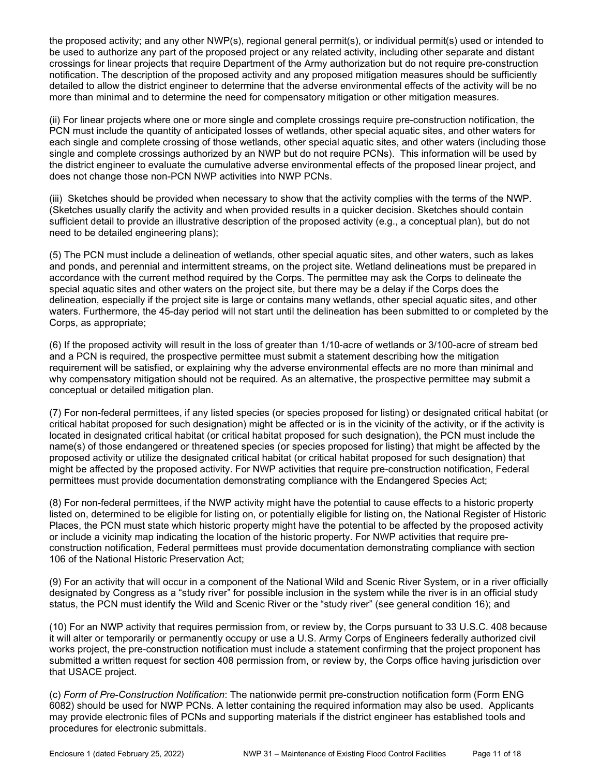the proposed activity; and any other NWP(s), regional general permit(s), or individual permit(s) used or intended to be used to authorize any part of the proposed project or any related activity, including other separate and distant crossings for linear projects that require Department of the Army authorization but do not require pre-construction notification. The description of the proposed activity and any proposed mitigation measures should be sufficiently detailed to allow the district engineer to determine that the adverse environmental effects of the activity will be no more than minimal and to determine the need for compensatory mitigation or other mitigation measures.

(ii) For linear projects where one or more single and complete crossings require pre-construction notification, the PCN must include the quantity of anticipated losses of wetlands, other special aquatic sites, and other waters for each single and complete crossing of those wetlands, other special aquatic sites, and other waters (including those single and complete crossings authorized by an NWP but do not require PCNs). This information will be used by the district engineer to evaluate the cumulative adverse environmental effects of the proposed linear project, and does not change those non-PCN NWP activities into NWP PCNs.

(iii) Sketches should be provided when necessary to show that the activity complies with the terms of the NWP. (Sketches usually clarify the activity and when provided results in a quicker decision. Sketches should contain sufficient detail to provide an illustrative description of the proposed activity (e.g., a conceptual plan), but do not need to be detailed engineering plans);

(5) The PCN must include a delineation of wetlands, other special aquatic sites, and other waters, such as lakes and ponds, and perennial and intermittent streams, on the project site. Wetland delineations must be prepared in accordance with the current method required by the Corps. The permittee may ask the Corps to delineate the special aquatic sites and other waters on the project site, but there may be a delay if the Corps does the delineation, especially if the project site is large or contains many wetlands, other special aquatic sites, and other waters. Furthermore, the 45-day period will not start until the delineation has been submitted to or completed by the Corps, as appropriate;

(6) If the proposed activity will result in the loss of greater than 1/10-acre of wetlands or 3/100-acre of stream bed and a PCN is required, the prospective permittee must submit a statement describing how the mitigation requirement will be satisfied, or explaining why the adverse environmental effects are no more than minimal and why compensatory mitigation should not be required. As an alternative, the prospective permittee may submit a conceptual or detailed mitigation plan.

(7) For non-federal permittees, if any listed species (or species proposed for listing) or designated critical habitat (or critical habitat proposed for such designation) might be affected or is in the vicinity of the activity, or if the activity is located in designated critical habitat (or critical habitat proposed for such designation), the PCN must include the name(s) of those endangered or threatened species (or species proposed for listing) that might be affected by the proposed activity or utilize the designated critical habitat (or critical habitat proposed for such designation) that might be affected by the proposed activity. For NWP activities that require pre-construction notification, Federal permittees must provide documentation demonstrating compliance with the Endangered Species Act;

(8) For non-federal permittees, if the NWP activity might have the potential to cause effects to a historic property listed on, determined to be eligible for listing on, or potentially eligible for listing on, the National Register of Historic Places, the PCN must state which historic property might have the potential to be affected by the proposed activity or include a vicinity map indicating the location of the historic property. For NWP activities that require preconstruction notification, Federal permittees must provide documentation demonstrating compliance with section 106 of the National Historic Preservation Act;

(9) For an activity that will occur in a component of the National Wild and Scenic River System, or in a river officially designated by Congress as a "study river" for possible inclusion in the system while the river is in an official study status, the PCN must identify the Wild and Scenic River or the "study river" (see general condition 16); and

(10) For an NWP activity that requires permission from, or review by, the Corps pursuant to 33 U.S.C. 408 because it will alter or temporarily or permanently occupy or use a U.S. Army Corps of Engineers federally authorized civil works project, the pre-construction notification must include a statement confirming that the project proponent has submitted a written request for section 408 permission from, or review by, the Corps office having jurisdiction over that USACE project.

(c) Form of Pre-Construction Notification: The nationwide permit pre-construction notification form (Form ENG 6082) should be used for NWP PCNs. A letter containing the required information may also be used. Applicants may provide electronic files of PCNs and supporting materials if the district engineer has established tools and procedures for electronic submittals.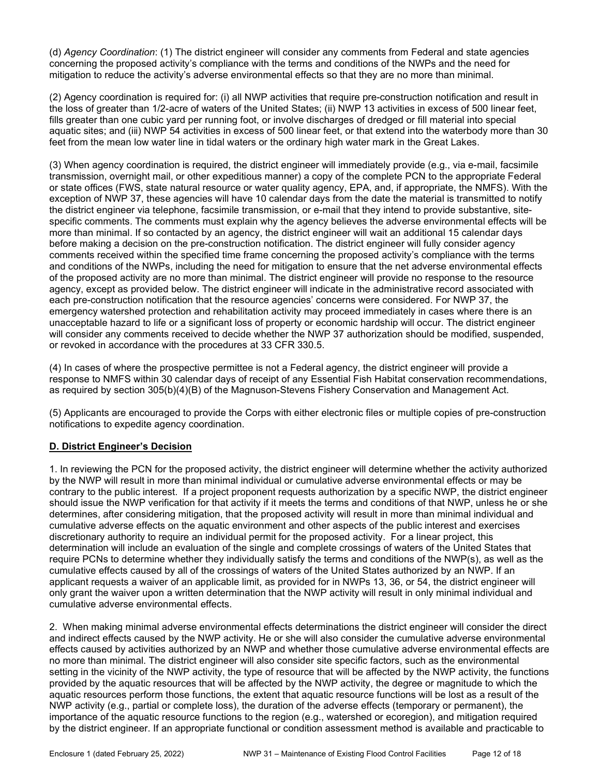(d) Agency Coordination: (1) The district engineer will consider any comments from Federal and state agencies concerning the proposed activity's compliance with the terms and conditions of the NWPs and the need for mitigation to reduce the activity's adverse environmental effects so that they are no more than minimal.

(2) Agency coordination is required for: (i) all NWP activities that require pre-construction notification and result in the loss of greater than 1/2-acre of waters of the United States; (ii) NWP 13 activities in excess of 500 linear feet, fills greater than one cubic yard per running foot, or involve discharges of dredged or fill material into special aquatic sites; and (iii) NWP 54 activities in excess of 500 linear feet, or that extend into the waterbody more than 30 feet from the mean low water line in tidal waters or the ordinary high water mark in the Great Lakes.

(3) When agency coordination is required, the district engineer will immediately provide (e.g., via e-mail, facsimile transmission, overnight mail, or other expeditious manner) a copy of the complete PCN to the appropriate Federal or state offices (FWS, state natural resource or water quality agency, EPA, and, if appropriate, the NMFS). With the exception of NWP 37, these agencies will have 10 calendar days from the date the material is transmitted to notify the district engineer via telephone, facsimile transmission, or e-mail that they intend to provide substantive, sitespecific comments. The comments must explain why the agency believes the adverse environmental effects will be more than minimal. If so contacted by an agency, the district engineer will wait an additional 15 calendar days before making a decision on the pre-construction notification. The district engineer will fully consider agency comments received within the specified time frame concerning the proposed activity's compliance with the terms and conditions of the NWPs, including the need for mitigation to ensure that the net adverse environmental effects of the proposed activity are no more than minimal. The district engineer will provide no response to the resource agency, except as provided below. The district engineer will indicate in the administrative record associated with each pre-construction notification that the resource agencies' concerns were considered. For NWP 37, the emergency watershed protection and rehabilitation activity may proceed immediately in cases where there is an unacceptable hazard to life or a significant loss of property or economic hardship will occur. The district engineer will consider any comments received to decide whether the NWP 37 authorization should be modified, suspended, or revoked in accordance with the procedures at 33 CFR 330.5.

(4) In cases of where the prospective permittee is not a Federal agency, the district engineer will provide a response to NMFS within 30 calendar days of receipt of any Essential Fish Habitat conservation recommendations, as required by section 305(b)(4)(B) of the Magnuson-Stevens Fishery Conservation and Management Act.

(5) Applicants are encouraged to provide the Corps with either electronic files or multiple copies of pre-construction notifications to expedite agency coordination.

### D. District Engineer's Decision

1. In reviewing the PCN for the proposed activity, the district engineer will determine whether the activity authorized by the NWP will result in more than minimal individual or cumulative adverse environmental effects or may be contrary to the public interest. If a project proponent requests authorization by a specific NWP, the district engineer should issue the NWP verification for that activity if it meets the terms and conditions of that NWP, unless he or she determines, after considering mitigation, that the proposed activity will result in more than minimal individual and cumulative adverse effects on the aquatic environment and other aspects of the public interest and exercises discretionary authority to require an individual permit for the proposed activity. For a linear project, this determination will include an evaluation of the single and complete crossings of waters of the United States that require PCNs to determine whether they individually satisfy the terms and conditions of the NWP(s), as well as the cumulative effects caused by all of the crossings of waters of the United States authorized by an NWP. If an applicant requests a waiver of an applicable limit, as provided for in NWPs 13, 36, or 54, the district engineer will only grant the waiver upon a written determination that the NWP activity will result in only minimal individual and cumulative adverse environmental effects.

2. When making minimal adverse environmental effects determinations the district engineer will consider the direct and indirect effects caused by the NWP activity. He or she will also consider the cumulative adverse environmental effects caused by activities authorized by an NWP and whether those cumulative adverse environmental effects are no more than minimal. The district engineer will also consider site specific factors, such as the environmental setting in the vicinity of the NWP activity, the type of resource that will be affected by the NWP activity, the functions provided by the aquatic resources that will be affected by the NWP activity, the degree or magnitude to which the aquatic resources perform those functions, the extent that aquatic resource functions will be lost as a result of the NWP activity (e.g., partial or complete loss), the duration of the adverse effects (temporary or permanent), the importance of the aquatic resource functions to the region (e.g., watershed or ecoregion), and mitigation required by the district engineer. If an appropriate functional or condition assessment method is available and practicable to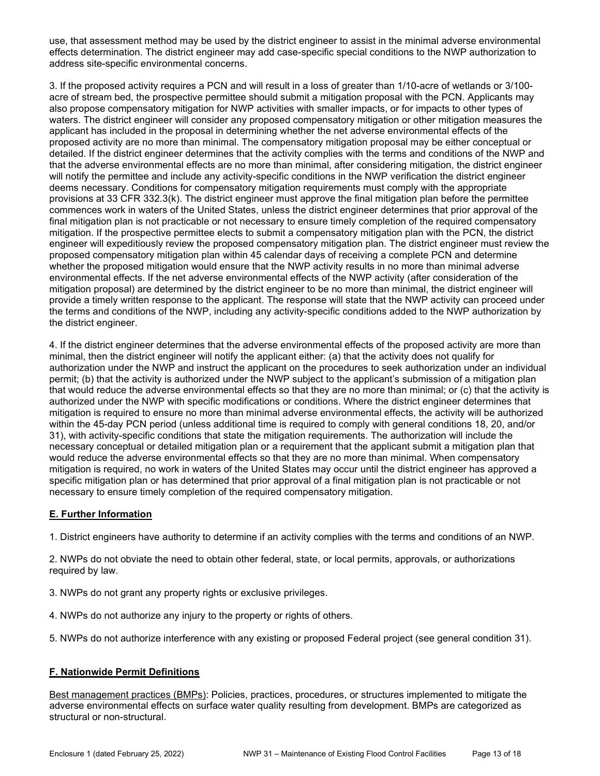use, that assessment method may be used by the district engineer to assist in the minimal adverse environmental effects determination. The district engineer may add case-specific special conditions to the NWP authorization to address site-specific environmental concerns.

3. If the proposed activity requires a PCN and will result in a loss of greater than 1/10-acre of wetlands or 3/100 acre of stream bed, the prospective permittee should submit a mitigation proposal with the PCN. Applicants may also propose compensatory mitigation for NWP activities with smaller impacts, or for impacts to other types of waters. The district engineer will consider any proposed compensatory mitigation or other mitigation measures the applicant has included in the proposal in determining whether the net adverse environmental effects of the proposed activity are no more than minimal. The compensatory mitigation proposal may be either conceptual or detailed. If the district engineer determines that the activity complies with the terms and conditions of the NWP and that the adverse environmental effects are no more than minimal, after considering mitigation, the district engineer will notify the permittee and include any activity-specific conditions in the NWP verification the district engineer deems necessary. Conditions for compensatory mitigation requirements must comply with the appropriate provisions at 33 CFR 332.3(k). The district engineer must approve the final mitigation plan before the permittee commences work in waters of the United States, unless the district engineer determines that prior approval of the final mitigation plan is not practicable or not necessary to ensure timely completion of the required compensatory mitigation. If the prospective permittee elects to submit a compensatory mitigation plan with the PCN, the district engineer will expeditiously review the proposed compensatory mitigation plan. The district engineer must review the proposed compensatory mitigation plan within 45 calendar days of receiving a complete PCN and determine whether the proposed mitigation would ensure that the NWP activity results in no more than minimal adverse environmental effects. If the net adverse environmental effects of the NWP activity (after consideration of the mitigation proposal) are determined by the district engineer to be no more than minimal, the district engineer will provide a timely written response to the applicant. The response will state that the NWP activity can proceed under the terms and conditions of the NWP, including any activity-specific conditions added to the NWP authorization by the district engineer.

4. If the district engineer determines that the adverse environmental effects of the proposed activity are more than minimal, then the district engineer will notify the applicant either: (a) that the activity does not qualify for authorization under the NWP and instruct the applicant on the procedures to seek authorization under an individual permit; (b) that the activity is authorized under the NWP subject to the applicant's submission of a mitigation plan that would reduce the adverse environmental effects so that they are no more than minimal; or (c) that the activity is authorized under the NWP with specific modifications or conditions. Where the district engineer determines that mitigation is required to ensure no more than minimal adverse environmental effects, the activity will be authorized within the 45-day PCN period (unless additional time is required to comply with general conditions 18, 20, and/or 31), with activity-specific conditions that state the mitigation requirements. The authorization will include the necessary conceptual or detailed mitigation plan or a requirement that the applicant submit a mitigation plan that would reduce the adverse environmental effects so that they are no more than minimal. When compensatory mitigation is required, no work in waters of the United States may occur until the district engineer has approved a specific mitigation plan or has determined that prior approval of a final mitigation plan is not practicable or not necessary to ensure timely completion of the required compensatory mitigation.

# E. Further Information

1. District engineers have authority to determine if an activity complies with the terms and conditions of an NWP.

2. NWPs do not obviate the need to obtain other federal, state, or local permits, approvals, or authorizations required by law.

- 3. NWPs do not grant any property rights or exclusive privileges.
- 4. NWPs do not authorize any injury to the property or rights of others.
- 5. NWPs do not authorize interference with any existing or proposed Federal project (see general condition 31).

### F. Nationwide Permit Definitions

Best management practices (BMPs): Policies, practices, procedures, or structures implemented to mitigate the adverse environmental effects on surface water quality resulting from development. BMPs are categorized as structural or non-structural.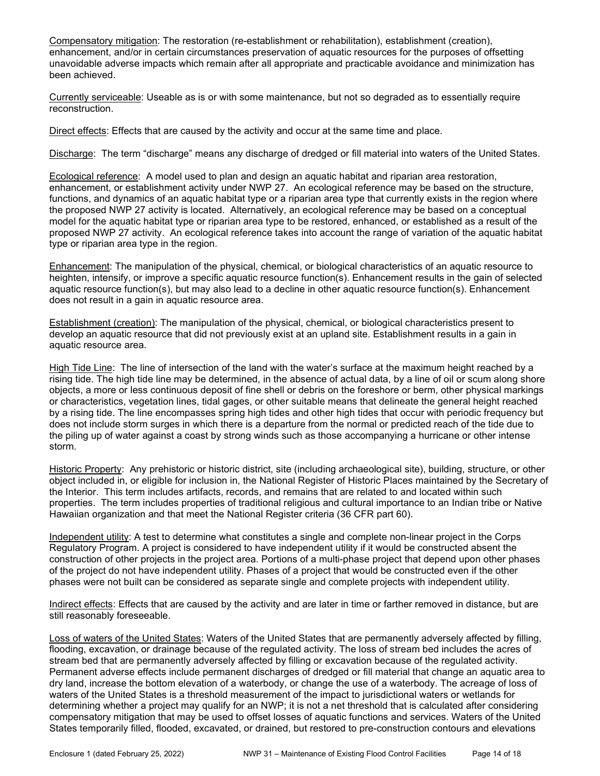Compensatory mitigation: The restoration (re-establishment or rehabilitation), establishment (creation), enhancement, and/or in certain circumstances preservation of aquatic resources for the purposes of offsetting unavoidable adverse impacts which remain after all appropriate and practicable avoidance and minimization has been achieved.

Currently serviceable: Useable as is or with some maintenance, but not so degraded as to essentially require reconstruction.

Direct effects: Effects that are caused by the activity and occur at the same time and place.

Discharge: The term "discharge" means any discharge of dredged or fill material into waters of the United States.

Ecological reference: A model used to plan and design an aquatic habitat and riparian area restoration, enhancement, or establishment activity under NWP 27. An ecological reference may be based on the structure, functions, and dynamics of an aquatic habitat type or a riparian area type that currently exists in the region where the proposed NWP 27 activity is located. Alternatively, an ecological reference may be based on a conceptual model for the aquatic habitat type or riparian area type to be restored, enhanced, or established as a result of the proposed NWP 27 activity. An ecological reference takes into account the range of variation of the aquatic habitat type or riparian area type in the region.

Enhancement: The manipulation of the physical, chemical, or biological characteristics of an aquatic resource to heighten, intensify, or improve a specific aquatic resource function(s). Enhancement results in the gain of selected aquatic resource function(s), but may also lead to a decline in other aquatic resource function(s). Enhancement does not result in a gain in aquatic resource area.

Establishment (creation): The manipulation of the physical, chemical, or biological characteristics present to develop an aquatic resource that did not previously exist at an upland site. Establishment results in a gain in aquatic resource area.

High Tide Line: The line of intersection of the land with the water's surface at the maximum height reached by a rising tide. The high tide line may be determined, in the absence of actual data, by a line of oil or scum along shore objects, a more or less continuous deposit of fine shell or debris on the foreshore or berm, other physical markings or characteristics, vegetation lines, tidal gages, or other suitable means that delineate the general height reached by a rising tide. The line encompasses spring high tides and other high tides that occur with periodic frequency but does not include storm surges in which there is a departure from the normal or predicted reach of the tide due to the piling up of water against a coast by strong winds such as those accompanying a hurricane or other intense storm.

Historic Property: Any prehistoric or historic district, site (including archaeological site), building, structure, or other object included in, or eligible for inclusion in, the National Register of Historic Places maintained by the Secretary of the Interior. This term includes artifacts, records, and remains that are related to and located within such properties. The term includes properties of traditional religious and cultural importance to an Indian tribe or Native Hawaiian organization and that meet the National Register criteria (36 CFR part 60).

Independent utility: A test to determine what constitutes a single and complete non-linear project in the Corps Regulatory Program. A project is considered to have independent utility if it would be constructed absent the construction of other projects in the project area. Portions of a multi-phase project that depend upon other phases of the project do not have independent utility. Phases of a project that would be constructed even if the other phases were not built can be considered as separate single and complete projects with independent utility.

Indirect effects: Effects that are caused by the activity and are later in time or farther removed in distance, but are still reasonably foreseeable.

Loss of waters of the United States: Waters of the United States that are permanently adversely affected by filling, flooding, excavation, or drainage because of the regulated activity. The loss of stream bed includes the acres of stream bed that are permanently adversely affected by filling or excavation because of the regulated activity. Permanent adverse effects include permanent discharges of dredged or fill material that change an aquatic area to dry land, increase the bottom elevation of a waterbody, or change the use of a waterbody. The acreage of loss of waters of the United States is a threshold measurement of the impact to jurisdictional waters or wetlands for determining whether a project may qualify for an NWP; it is not a net threshold that is calculated after considering compensatory mitigation that may be used to offset losses of aquatic functions and services. Waters of the United States temporarily filled, flooded, excavated, or drained, but restored to pre-construction contours and elevations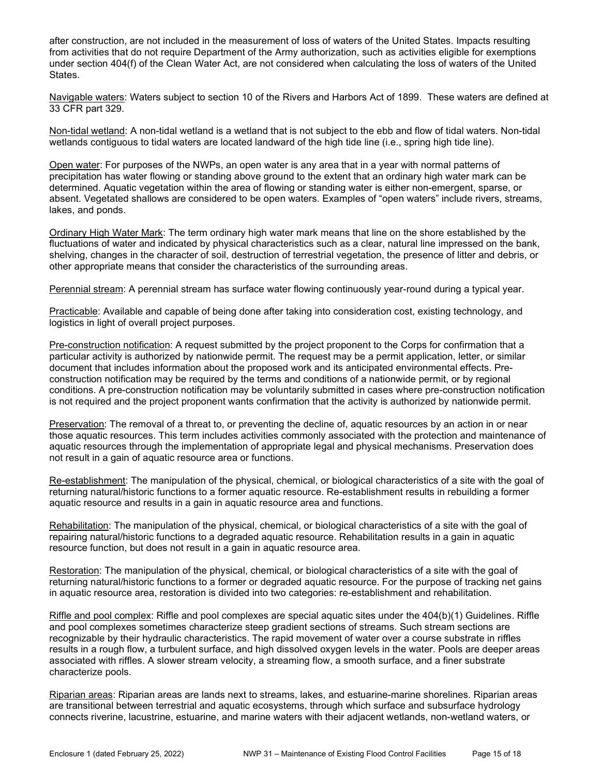after construction, are not included in the measurement of loss of waters of the United States. Impacts resulting from activities that do not require Department of the Army authorization, such as activities eligible for exemptions under section 404(f) of the Clean Water Act, are not considered when calculating the loss of waters of the United States.

Navigable waters: Waters subject to section 10 of the Rivers and Harbors Act of 1899. These waters are defined at 33 CFR part 329.

Non-tidal wetland: A non-tidal wetland is a wetland that is not subject to the ebb and flow of tidal waters. Non-tidal wetlands contiguous to tidal waters are located landward of the high tide line (i.e., spring high tide line).

Open water: For purposes of the NWPs, an open water is any area that in a year with normal patterns of precipitation has water flowing or standing above ground to the extent that an ordinary high water mark can be determined. Aquatic vegetation within the area of flowing or standing water is either non-emergent, sparse, or absent. Vegetated shallows are considered to be open waters. Examples of "open waters" include rivers, streams, lakes, and ponds.

Ordinary High Water Mark: The term ordinary high water mark means that line on the shore established by the fluctuations of water and indicated by physical characteristics such as a clear, natural line impressed on the bank, shelving, changes in the character of soil, destruction of terrestrial vegetation, the presence of litter and debris, or other appropriate means that consider the characteristics of the surrounding areas.

Perennial stream: A perennial stream has surface water flowing continuously year-round during a typical year.

Practicable: Available and capable of being done after taking into consideration cost, existing technology, and logistics in light of overall project purposes.

Pre-construction notification: A request submitted by the project proponent to the Corps for confirmation that a particular activity is authorized by nationwide permit. The request may be a permit application, letter, or similar document that includes information about the proposed work and its anticipated environmental effects. Preconstruction notification may be required by the terms and conditions of a nationwide permit, or by regional conditions. A pre-construction notification may be voluntarily submitted in cases where pre-construction notification is not required and the project proponent wants confirmation that the activity is authorized by nationwide permit.

Preservation: The removal of a threat to, or preventing the decline of, aquatic resources by an action in or near those aquatic resources. This term includes activities commonly associated with the protection and maintenance of aquatic resources through the implementation of appropriate legal and physical mechanisms. Preservation does not result in a gain of aquatic resource area or functions.

Re-establishment: The manipulation of the physical, chemical, or biological characteristics of a site with the goal of returning natural/historic functions to a former aquatic resource. Re-establishment results in rebuilding a former aquatic resource and results in a gain in aquatic resource area and functions.

Rehabilitation: The manipulation of the physical, chemical, or biological characteristics of a site with the goal of repairing natural/historic functions to a degraded aquatic resource. Rehabilitation results in a gain in aquatic resource function, but does not result in a gain in aquatic resource area.

Restoration: The manipulation of the physical, chemical, or biological characteristics of a site with the goal of returning natural/historic functions to a former or degraded aquatic resource. For the purpose of tracking net gains in aquatic resource area, restoration is divided into two categories: re-establishment and rehabilitation.

Riffle and pool complex: Riffle and pool complexes are special aquatic sites under the 404(b)(1) Guidelines. Riffle and pool complexes sometimes characterize steep gradient sections of streams. Such stream sections are recognizable by their hydraulic characteristics. The rapid movement of water over a course substrate in riffles results in a rough flow, a turbulent surface, and high dissolved oxygen levels in the water. Pools are deeper areas associated with riffles. A slower stream velocity, a streaming flow, a smooth surface, and a finer substrate characterize pools.

Riparian areas: Riparian areas are lands next to streams, lakes, and estuarine-marine shorelines. Riparian areas are transitional between terrestrial and aquatic ecosystems, through which surface and subsurface hydrology connects riverine, lacustrine, estuarine, and marine waters with their adjacent wetlands, non-wetland waters, or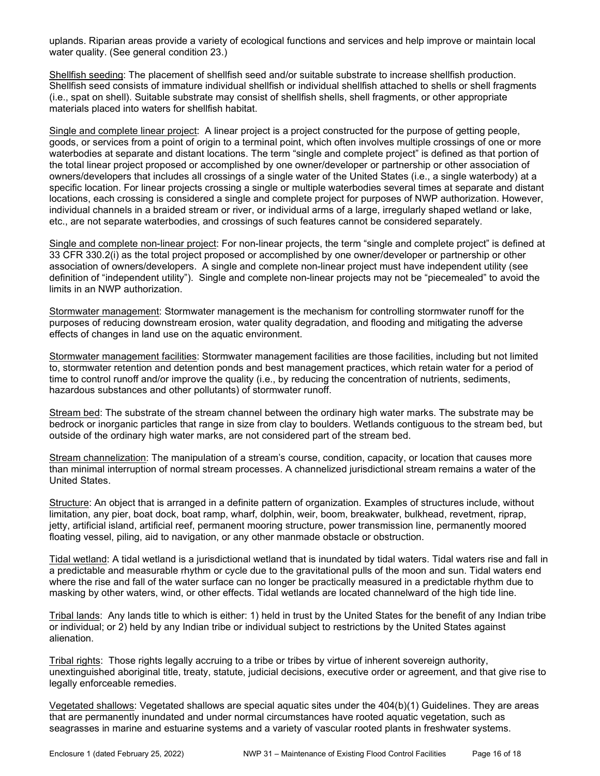uplands. Riparian areas provide a variety of ecological functions and services and help improve or maintain local water quality. (See general condition 23.)

Shellfish seeding: The placement of shellfish seed and/or suitable substrate to increase shellfish production. Shellfish seed consists of immature individual shellfish or individual shellfish attached to shells or shell fragments (i.e., spat on shell). Suitable substrate may consist of shellfish shells, shell fragments, or other appropriate materials placed into waters for shellfish habitat.

Single and complete linear project: A linear project is a project constructed for the purpose of getting people, goods, or services from a point of origin to a terminal point, which often involves multiple crossings of one or more waterbodies at separate and distant locations. The term "single and complete project" is defined as that portion of the total linear project proposed or accomplished by one owner/developer or partnership or other association of owners/developers that includes all crossings of a single water of the United States (i.e., a single waterbody) at a specific location. For linear projects crossing a single or multiple waterbodies several times at separate and distant locations, each crossing is considered a single and complete project for purposes of NWP authorization. However, individual channels in a braided stream or river, or individual arms of a large, irregularly shaped wetland or lake, etc., are not separate waterbodies, and crossings of such features cannot be considered separately.

Single and complete non-linear project: For non-linear projects, the term "single and complete project" is defined at 33 CFR 330.2(i) as the total project proposed or accomplished by one owner/developer or partnership or other association of owners/developers. A single and complete non-linear project must have independent utility (see definition of "independent utility"). Single and complete non-linear projects may not be "piecemealed" to avoid the limits in an NWP authorization.

Stormwater management: Stormwater management is the mechanism for controlling stormwater runoff for the purposes of reducing downstream erosion, water quality degradation, and flooding and mitigating the adverse effects of changes in land use on the aquatic environment.

Stormwater management facilities: Stormwater management facilities are those facilities, including but not limited to, stormwater retention and detention ponds and best management practices, which retain water for a period of time to control runoff and/or improve the quality (i.e., by reducing the concentration of nutrients, sediments, hazardous substances and other pollutants) of stormwater runoff.

Stream bed: The substrate of the stream channel between the ordinary high water marks. The substrate may be bedrock or inorganic particles that range in size from clay to boulders. Wetlands contiguous to the stream bed, but outside of the ordinary high water marks, are not considered part of the stream bed.

Stream channelization: The manipulation of a stream's course, condition, capacity, or location that causes more than minimal interruption of normal stream processes. A channelized jurisdictional stream remains a water of the United States.

Structure: An object that is arranged in a definite pattern of organization. Examples of structures include, without limitation, any pier, boat dock, boat ramp, wharf, dolphin, weir, boom, breakwater, bulkhead, revetment, riprap, jetty, artificial island, artificial reef, permanent mooring structure, power transmission line, permanently moored floating vessel, piling, aid to navigation, or any other manmade obstacle or obstruction.

Tidal wetland: A tidal wetland is a jurisdictional wetland that is inundated by tidal waters. Tidal waters rise and fall in a predictable and measurable rhythm or cycle due to the gravitational pulls of the moon and sun. Tidal waters end where the rise and fall of the water surface can no longer be practically measured in a predictable rhythm due to masking by other waters, wind, or other effects. Tidal wetlands are located channelward of the high tide line.

Tribal lands: Any lands title to which is either: 1) held in trust by the United States for the benefit of any Indian tribe or individual; or 2) held by any Indian tribe or individual subject to restrictions by the United States against alienation.

Tribal rights: Those rights legally accruing to a tribe or tribes by virtue of inherent sovereign authority, unextinguished aboriginal title, treaty, statute, judicial decisions, executive order or agreement, and that give rise to legally enforceable remedies.

Vegetated shallows: Vegetated shallows are special aquatic sites under the 404(b)(1) Guidelines. They are areas that are permanently inundated and under normal circumstances have rooted aquatic vegetation, such as seagrasses in marine and estuarine systems and a variety of vascular rooted plants in freshwater systems.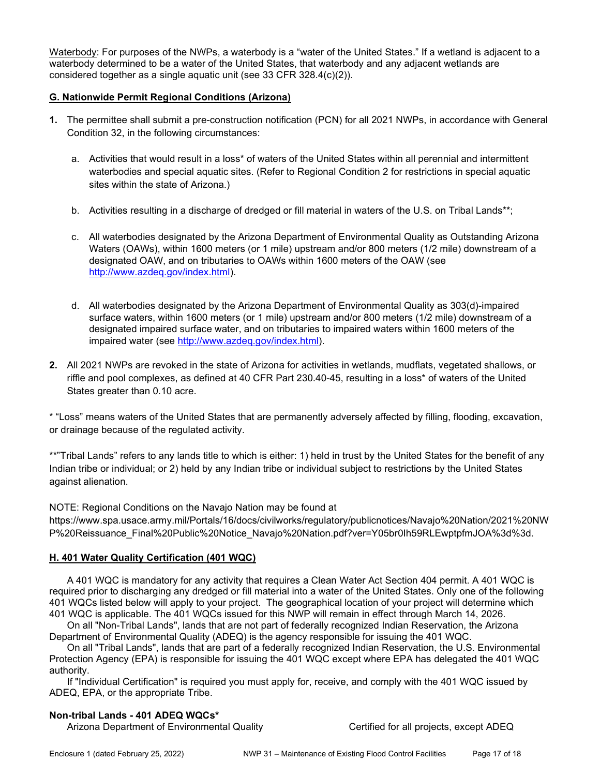Waterbody: For purposes of the NWPs, a waterbody is a "water of the United States." If a wetland is adjacent to a waterbody determined to be a water of the United States, that waterbody and any adjacent wetlands are considered together as a single aquatic unit (see 33 CFR 328.4(c)(2)).

### G. Nationwide Permit Regional Conditions (Arizona)

- 1. The permittee shall submit a pre-construction notification (PCN) for all 2021 NWPs, in accordance with General Condition 32, in the following circumstances:
	- a. Activities that would result in a loss\* of waters of the United States within all perennial and intermittent waterbodies and special aquatic sites. (Refer to Regional Condition 2 for restrictions in special aquatic sites within the state of Arizona.)
	- b. Activities resulting in a discharge of dredged or fill material in waters of the U.S. on Tribal Lands\*\*;
	- c. All waterbodies designated by the Arizona Department of Environmental Quality as Outstanding Arizona Waters (OAWs), within 1600 meters (or 1 mile) upstream and/or 800 meters (1/2 mile) downstream of a designated OAW, and on tributaries to OAWs within 1600 meters of the OAW (see http://www.azdeq.gov/index.html).
	- d. All waterbodies designated by the Arizona Department of Environmental Quality as 303(d)-impaired surface waters, within 1600 meters (or 1 mile) upstream and/or 800 meters (1/2 mile) downstream of a designated impaired surface water, and on tributaries to impaired waters within 1600 meters of the impaired water (see http://www.azdeq.gov/index.html).
- 2. All 2021 NWPs are revoked in the state of Arizona for activities in wetlands, mudflats, vegetated shallows, or riffle and pool complexes, as defined at 40 CFR Part 230.40-45, resulting in a loss\* of waters of the United States greater than 0.10 acre.

\* "Loss" means waters of the United States that are permanently adversely affected by filling, flooding, excavation, or drainage because of the regulated activity.

\*\*"Tribal Lands" refers to any lands title to which is either: 1) held in trust by the United States for the benefit of any Indian tribe or individual; or 2) held by any Indian tribe or individual subject to restrictions by the United States against alienation.

NOTE: Regional Conditions on the Navajo Nation may be found at

https://www.spa.usace.army.mil/Portals/16/docs/civilworks/regulatory/publicnotices/Navajo%20Nation/2021%20NW P%20Reissuance\_Final%20Public%20Notice\_Navajo%20Nation.pdf?ver=Y05br0Ih59RLEwptpfmJOA%3d%3d.

#### H. 401 Water Quality Certification (401 WQC)

 A 401 WQC is mandatory for any activity that requires a Clean Water Act Section 404 permit. A 401 WQC is required prior to discharging any dredged or fill material into a water of the United States. Only one of the following 401 WQCs listed below will apply to your project. The geographical location of your project will determine which 401 WQC is applicable. The 401 WQCs issued for this NWP will remain in effect through March 14, 2026.

 On all "Non-Tribal Lands", lands that are not part of federally recognized Indian Reservation, the Arizona Department of Environmental Quality (ADEQ) is the agency responsible for issuing the 401 WQC.

 On all "Tribal Lands", lands that are part of a federally recognized Indian Reservation, the U.S. Environmental Protection Agency (EPA) is responsible for issuing the 401 WQC except where EPA has delegated the 401 WQC authority.

 If "Individual Certification" is required you must apply for, receive, and comply with the 401 WQC issued by ADEQ, EPA, or the appropriate Tribe.

#### Non-tribal Lands - 401 ADEQ WQCs\*

Arizona Department of Environmental Quality Christian Certified for all projects, except ADEQ